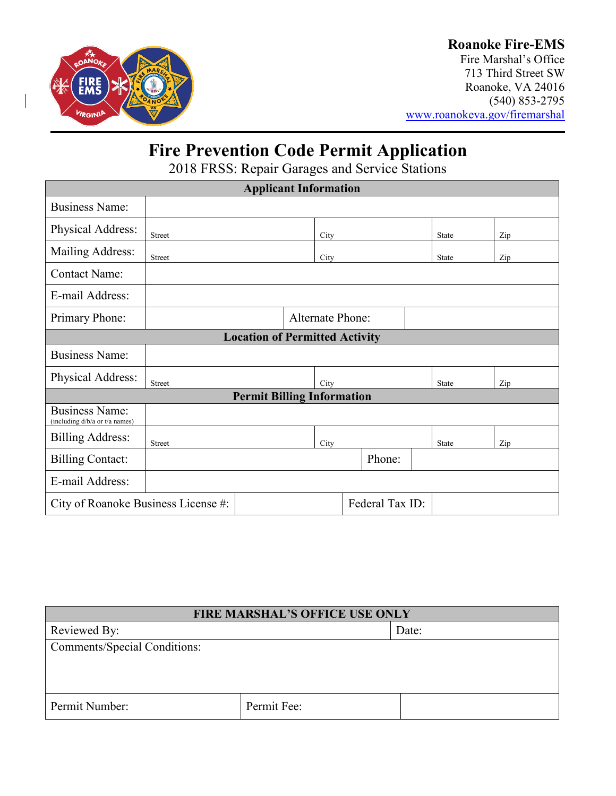

## **Roanoke Fire-EMS**

Fire Marshal's Office 713 Third Street SW Roanoke, VA 24016 (540) 853-2795 [www.roanokeva.gov/firemarshal](http://www.roanokeva.gov/firemarshal)

# **Fire Prevention Code Permit Application**

2018 FRSS: Repair Garages and Service Stations

| <b>Applicant Information</b>                            |               |  |      |                  |  |       |       |     |     |
|---------------------------------------------------------|---------------|--|------|------------------|--|-------|-------|-----|-----|
| <b>Business Name:</b>                                   |               |  |      |                  |  |       |       |     |     |
| Physical Address:                                       | Street        |  | City |                  |  |       | State |     | Zip |
| Mailing Address:                                        | Street        |  | City |                  |  | State |       | Zip |     |
| <b>Contact Name:</b>                                    |               |  |      |                  |  |       |       |     |     |
| E-mail Address:                                         |               |  |      |                  |  |       |       |     |     |
| Primary Phone:                                          |               |  |      | Alternate Phone: |  |       |       |     |     |
| <b>Location of Permitted Activity</b>                   |               |  |      |                  |  |       |       |     |     |
| <b>Business Name:</b>                                   |               |  |      |                  |  |       |       |     |     |
| Physical Address:                                       | <b>Street</b> |  | City |                  |  | State |       | Zip |     |
| <b>Permit Billing Information</b>                       |               |  |      |                  |  |       |       |     |     |
| <b>Business Name:</b><br>(including d/b/a or t/a names) |               |  |      |                  |  |       |       |     |     |
| <b>Billing Address:</b>                                 | <b>Street</b> |  | City |                  |  | State |       | Zip |     |
| <b>Billing Contact:</b>                                 |               |  |      | Phone:           |  |       |       |     |     |
| E-mail Address:                                         |               |  |      |                  |  |       |       |     |     |
| Federal Tax ID:<br>City of Roanoke Business License #:  |               |  |      |                  |  |       |       |     |     |

| <b>FIRE MARSHAL'S OFFICE USE ONLY</b> |             |       |  |  |
|---------------------------------------|-------------|-------|--|--|
| Reviewed By:                          |             | Date: |  |  |
| <b>Comments/Special Conditions:</b>   |             |       |  |  |
|                                       |             |       |  |  |
|                                       |             |       |  |  |
|                                       |             |       |  |  |
| Permit Number:                        | Permit Fee: |       |  |  |
|                                       |             |       |  |  |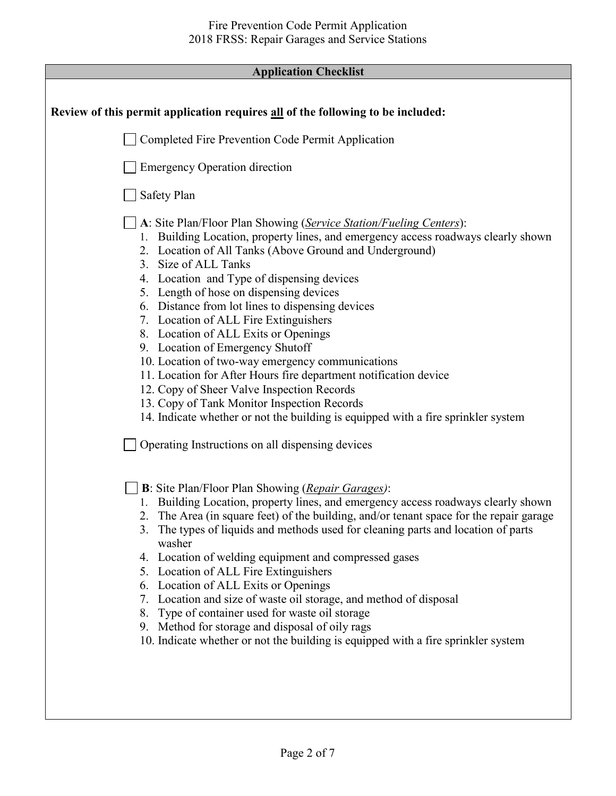### **Application Checklist**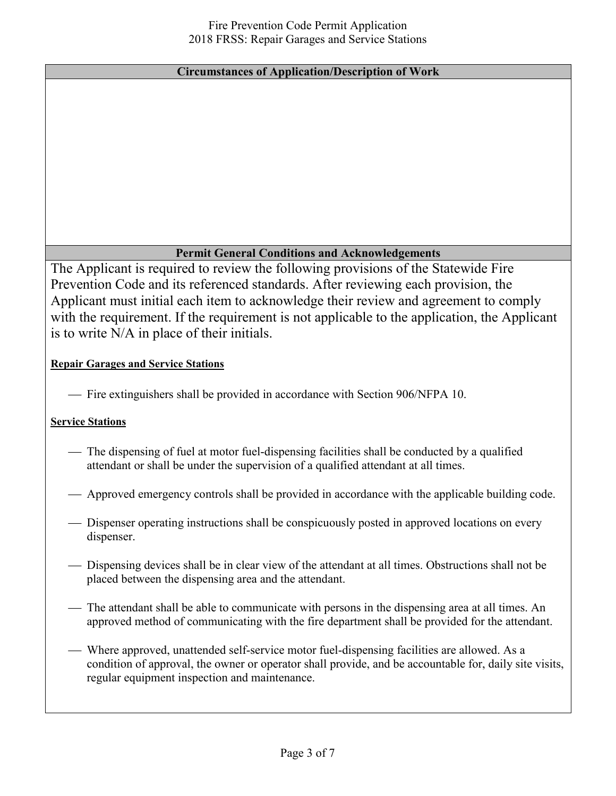#### **Circumstances of Application/Description of Work**

#### **Permit General Conditions and Acknowledgements**

The Applicant is required to review the following provisions of the Statewide Fire Prevention Code and its referenced standards. After reviewing each provision, the Applicant must initial each item to acknowledge their review and agreement to comply with the requirement. If the requirement is not applicable to the application, the Applicant is to write N/A in place of their initials.

#### **Repair Garages and Service Stations**

Fire extinguishers shall be provided in accordance with Section 906/NFPA 10.

#### **Service Stations**

- The dispensing of fuel at motor fuel-dispensing facilities shall be conducted by a qualified attendant or shall be under the supervision of a qualified attendant at all times.
- Approved emergency controls shall be provided in accordance with the applicable building code.
- Dispenser operating instructions shall be conspicuously posted in approved locations on every dispenser.
- Dispensing devices shall be in clear view of the attendant at all times. Obstructions shall not be placed between the dispensing area and the attendant.
- The attendant shall be able to communicate with persons in the dispensing area at all times. An approved method of communicating with the fire department shall be provided for the attendant.
- Where approved, unattended self-service motor fuel-dispensing facilities are allowed. As a condition of approval, the owner or operator shall provide, and be accountable for, daily site visits, regular equipment inspection and maintenance.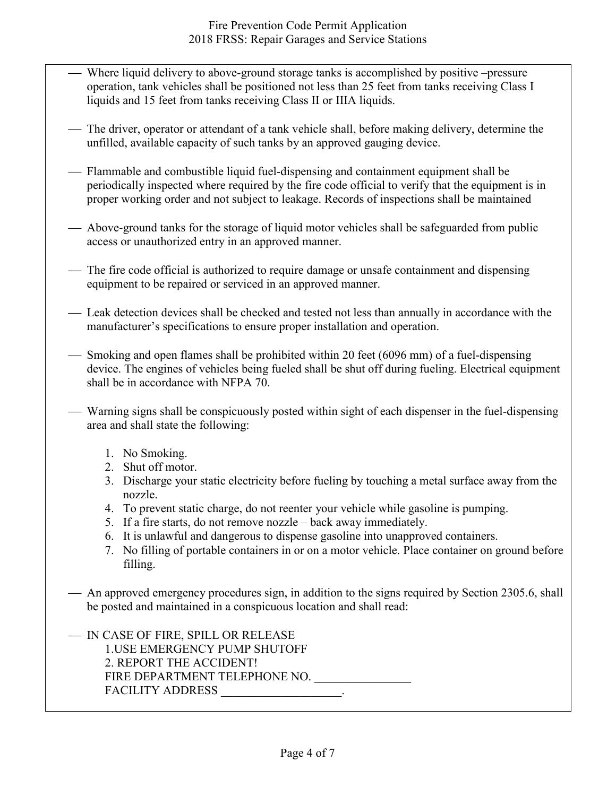- Where liquid delivery to above-ground storage tanks is accomplished by positive –pressure operation, tank vehicles shall be positioned not less than 25 feet from tanks receiving Class I liquids and 15 feet from tanks receiving Class II or IIIA liquids.
- The driver, operator or attendant of a tank vehicle shall, before making delivery, determine the unfilled, available capacity of such tanks by an approved gauging device.
- Flammable and combustible liquid fuel-dispensing and containment equipment shall be periodically inspected where required by the fire code official to verify that the equipment is in proper working order and not subject to leakage. Records of inspections shall be maintained
- Above-ground tanks for the storage of liquid motor vehicles shall be safeguarded from public access or unauthorized entry in an approved manner.
- The fire code official is authorized to require damage or unsafe containment and dispensing equipment to be repaired or serviced in an approved manner.
- Leak detection devices shall be checked and tested not less than annually in accordance with the manufacturer's specifications to ensure proper installation and operation.
- Smoking and open flames shall be prohibited within 20 feet (6096 mm) of a fuel-dispensing device. The engines of vehicles being fueled shall be shut off during fueling. Electrical equipment shall be in accordance with NFPA 70.
- Warning signs shall be conspicuously posted within sight of each dispenser in the fuel-dispensing area and shall state the following:
	- 1. No Smoking.
	- 2. Shut off motor.
	- 3. Discharge your static electricity before fueling by touching a metal surface away from the nozzle.
	- 4. To prevent static charge, do not reenter your vehicle while gasoline is pumping.
	- 5. If a fire starts, do not remove nozzle back away immediately.
	- 6. It is unlawful and dangerous to dispense gasoline into unapproved containers.
	- 7. No filling of portable containers in or on a motor vehicle. Place container on ground before filling.
- An approved emergency procedures sign, in addition to the signs required by Section 2305.6, shall be posted and maintained in a conspicuous location and shall read:

— IN CASE OF FIRE, SPILL OR RELEASE 1.USE EMERGENCY PUMP SHUTOFF 2. REPORT THE ACCIDENT! FIRE DEPARTMENT TELEPHONE NO. \_\_\_\_\_\_\_\_\_\_\_\_\_\_\_\_ FACILITY ADDRESS  $\qquad \qquad$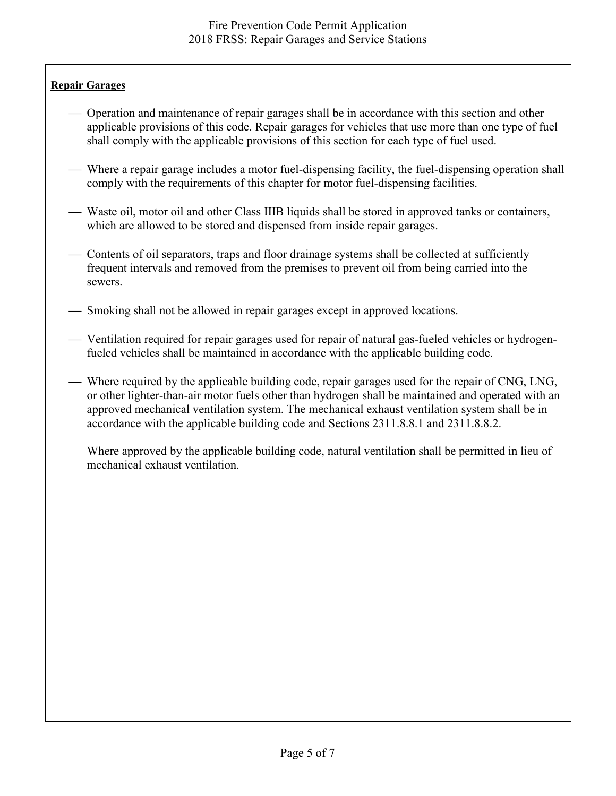#### **Repair Garages**

- Operation and maintenance of repair garages shall be in accordance with this section and other applicable provisions of this code. Repair garages for vehicles that use more than one type of fuel shall comply with the applicable provisions of this section for each type of fuel used.
- Where a repair garage includes a motor fuel-dispensing facility, the fuel-dispensing operation shall comply with the requirements of this chapter for motor fuel-dispensing facilities.
- Waste oil, motor oil and other Class IIIB liquids shall be stored in approved tanks or containers, which are allowed to be stored and dispensed from inside repair garages.
- Contents of oil separators, traps and floor drainage systems shall be collected at sufficiently frequent intervals and removed from the premises to prevent oil from being carried into the sewers.
- Smoking shall not be allowed in repair garages except in approved locations.
- Ventilation required for repair garages used for repair of natural gas-fueled vehicles or hydrogenfueled vehicles shall be maintained in accordance with the applicable building code.
- Where required by the applicable building code, repair garages used for the repair of CNG, LNG, or other lighter-than-air motor fuels other than hydrogen shall be maintained and operated with an approved mechanical ventilation system. The mechanical exhaust ventilation system shall be in accordance with the applicable building code and Sections 2311.8.8.1 and 2311.8.8.2.

Where approved by the applicable building code, natural ventilation shall be permitted in lieu of mechanical exhaust ventilation.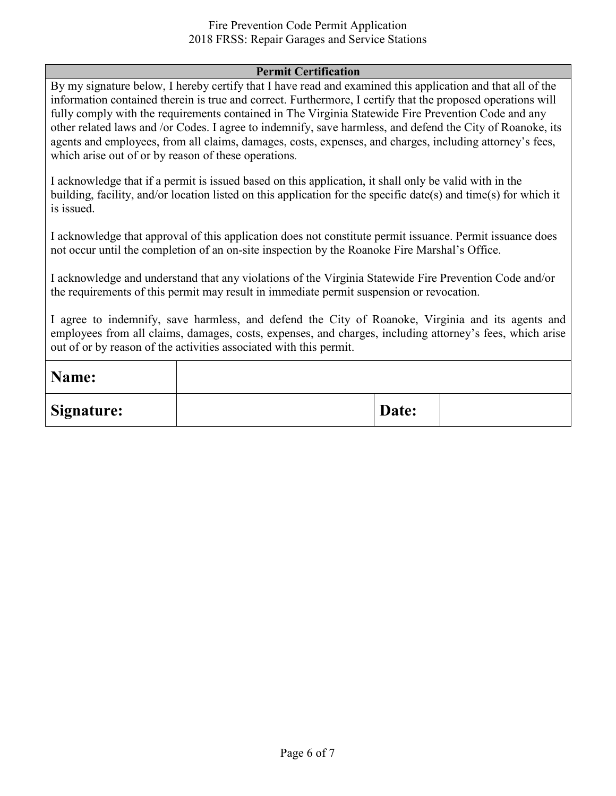#### Fire Prevention Code Permit Application 2018 FRSS: Repair Garages and Service Stations

#### **Permit Certification**

By my signature below, I hereby certify that I have read and examined this application and that all of the information contained therein is true and correct. Furthermore, I certify that the proposed operations will fully comply with the requirements contained in The Virginia Statewide Fire Prevention Code and any other related laws and /or Codes. I agree to indemnify, save harmless, and defend the City of Roanoke, its agents and employees, from all claims, damages, costs, expenses, and charges, including attorney's fees, which arise out of or by reason of these operations.

I acknowledge that if a permit is issued based on this application, it shall only be valid with in the building, facility, and/or location listed on this application for the specific date(s) and time(s) for which it is issued.

I acknowledge that approval of this application does not constitute permit issuance. Permit issuance does not occur until the completion of an on-site inspection by the Roanoke Fire Marshal's Office.

I acknowledge and understand that any violations of the Virginia Statewide Fire Prevention Code and/or the requirements of this permit may result in immediate permit suspension or revocation.

I agree to indemnify, save harmless, and defend the City of Roanoke, Virginia and its agents and employees from all claims, damages, costs, expenses, and charges, including attorney's fees, which arise out of or by reason of the activities associated with this permit.

| Name:      |       |  |
|------------|-------|--|
| Signature: | Date: |  |